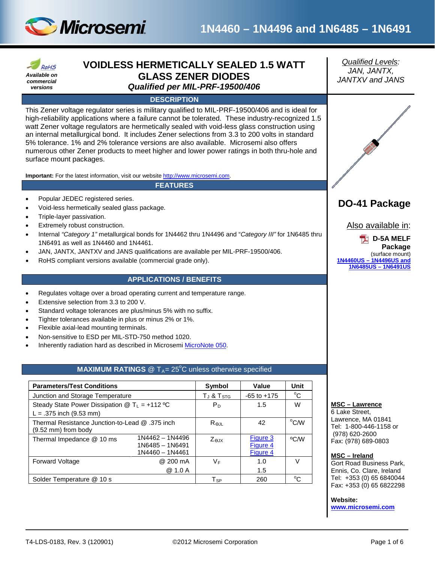

# **1N4460 – 1N4496 and 1N6485 – 1N6491**

| <b>RoHS</b>  |  |  |  |  |  |  |
|--------------|--|--|--|--|--|--|
| Available on |  |  |  |  |  |  |
| commercial   |  |  |  |  |  |  |
| versions     |  |  |  |  |  |  |

## **VOIDLESS HERMETICALLY SEALED 1.5 WATT GLASS ZENER DIODES** *Qualified per MIL-PRF-19500/406*

#### **DESCRIPTION**

This Zener voltage regulator series is military qualified to MIL-PRF-19500/406 and is ideal for high-reliability applications where a failure cannot be tolerated. These industry-recognized 1.5 watt Zener voltage regulators are hermetically sealed with void-less glass construction using an internal metallurgical bond. It includes Zener selections from 3.3 to 200 volts in standard 5% tolerance. 1% and 2% tolerance versions are also available. Microsemi also offers numerous other Zener products to meet higher and lower power ratings in both thru-hole and surface mount packages.

**Important:** For the latest information, visit our website [http://www.microsemi.com.](http://www.microsemi.com/)

#### **FEATURES**

- Popular JEDEC registered series.
- Void-less hermetically sealed glass package.
- Triple-layer passivation.
- Extremely robust construction.
- Internal *"Category 1"* metallurgical bonds for 1N4462 thru 1N4496 and "*Category III"* for 1N6485 thru 1N6491 as well as 1N4460 and 1N4461.
- JAN, JANTX, JANTXV and JANS qualifications are available per MIL-PRF-19500/406.
- RoHS compliant versions available (commercial grade only).

### **APPLICATIONS / BENEFITS**

- Regulates voltage over a broad operating current and temperature range.
- Extensive selection from 3.3 to 200 V.
- Standard voltage tolerances are plus/minus 5% with no suffix.
- Tighter tolerances available in plus or minus 2% or 1%.
- Flexible axial-lead mounting terminals.
- Non-sensitive to ESD per MIL-STD-750 method 1020.
- Inherently radiation hard as described in Microsemi [MicroNote 050.](http://www.microsemi.com/en/sites/default/files/micnotes/050.pdf)

## **MAXIMUM RATINGS** @ T<sub>A</sub>= 25<sup>°</sup>C unless otherwise specified

<span id="page-0-1"></span>

| <b>Parameters/Test Conditions</b>                                              | Symbol                                                  | Value            | Unit                             |      |
|--------------------------------------------------------------------------------|---------------------------------------------------------|------------------|----------------------------------|------|
| Junction and Storage Temperature                                               | $T_J$ & $T_{STG}$                                       | $-65$ to $+175$  | °C                               |      |
| Steady State Power Dissipation $@T_{L} = +112 °C$<br>$L = .375$ inch (9.53 mm) | P <sub>D</sub>                                          | 1.5              | W                                |      |
| Thermal Resistance Junction-to-Lead @ .375 inch<br>(9.52 mm) from body         | $R_{\Theta,IL}$                                         | 42               | °C/W                             |      |
| Thermal Impedance @ 10 ms                                                      | 1N4462 - 1N4496<br>1N6485 - 1N6491<br>$1N4460 - 1N4461$ | Z <sub>AIX</sub> | Figure 3<br>Figure 4<br>Figure 4 | °C/W |
| Forward Voltage                                                                | @ 200 mA<br>@ 1.0 A                                     | VF               | 1.0<br>1.5                       | V    |
| Solder Temperature @ 10 s                                                      | $T_{SP}$                                                | 260              | °C                               |      |

*Qualified Levels: JAN, JANTX, JANTXV and JANS*



## **DO-41 Package**

Also available in:



#### **MSC – Lawrence**

6 Lake Street, Lawrence, MA 01841 Tel: 1-800-446-1158 or (978) 620-2600 Fax: (978) 689-0803

#### <span id="page-0-0"></span>**MSC – Ireland**

Gort Road Business Park, Ennis, Co. Clare, Ireland Tel: +353 (0) 65 6840044 Fax: +353 (0) 65 6822298

#### **Website:**

**[www.microsemi.com](http://www.microsemi.com/)**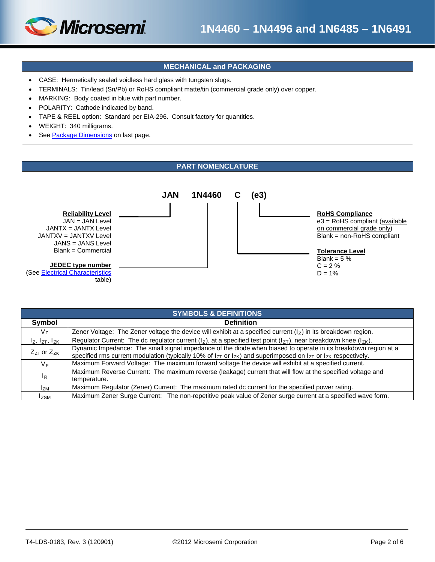

# **1N4460 – 1N4496 and 1N6485 – 1N6491**

## **MECHANICAL and PACKAGING**

- CASE: Hermetically sealed voidless hard glass with tungsten slugs.
- TERMINALS: Tin/lead (Sn/Pb) or RoHS compliant matte/tin (commercial grade only) over copper.
- MARKING: Body coated in blue with part number.
- POLARITY: Cathode indicated by band.
- TAPE & REEL option: Standard per EIA-296. Consult factory for quantities.
- WEIGHT: 340 milligrams.
- See [Package Dimensions](#page-5-0) on last page.

## **PART NOMENCLATURE**



| <b>SYMBOLS &amp; DEFINITIONS</b> |                                                                                                                                                                                                                                                    |  |  |  |  |  |  |
|----------------------------------|----------------------------------------------------------------------------------------------------------------------------------------------------------------------------------------------------------------------------------------------------|--|--|--|--|--|--|
| Symbol                           | <b>Definition</b>                                                                                                                                                                                                                                  |  |  |  |  |  |  |
| $V_{Z}$                          | Zener Voltage: The Zener voltage the device will exhibit at a specified current $(1z)$ in its breakdown region.                                                                                                                                    |  |  |  |  |  |  |
| $I_Z$ , $I_{ZT}$ , $I_{ZK}$      | Regulator Current: The dc regulator current ( $ _7$ ), at a specified test point ( $ _{7}$ ), near breakdown knee ( $ _{7}$ ).                                                                                                                     |  |  |  |  |  |  |
| $Z_{ZT}$ or $Z_{ZK}$             | Dynamic Impedance: The small signal impedance of the diode when biased to operate in its breakdown region at a<br>specified rms current modulation (typically 10% of $I_{ZT}$ or $I_{ZK}$ ) and superimposed on $I_{ZT}$ or $I_{ZK}$ respectively. |  |  |  |  |  |  |
| $V_F$                            | Maximum Forward Voltage: The maximum forward voltage the device will exhibit at a specified current.                                                                                                                                               |  |  |  |  |  |  |
| $I_R$                            | Maximum Reverse Current: The maximum reverse (leakage) current that will flow at the specified voltage and<br>temperature.                                                                                                                         |  |  |  |  |  |  |
| l <sub>ZM</sub>                  | Maximum Regulator (Zener) Current: The maximum rated dc current for the specified power rating.                                                                                                                                                    |  |  |  |  |  |  |
| <b>ZSM</b>                       | Maximum Zener Surge Current: The non-repetitive peak value of Zener surge current at a specified wave form.                                                                                                                                        |  |  |  |  |  |  |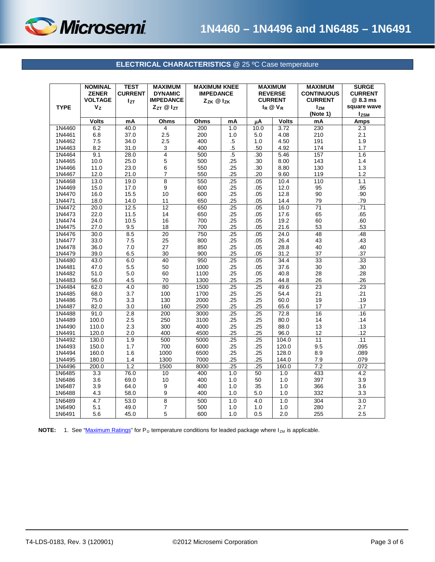

## **ELECTRICAL CHARACTERISTICS** @ 25 ºC Case temperature

<span id="page-2-0"></span>

| <b>TYPE</b>      | <b>NOMINAL</b><br><b>ZENER</b><br><b>VOLTAGE</b><br>Vz | <b>TEST</b><br><b>CURRENT</b><br>Izτ | <b>MAXIMUM</b><br><b>DYNAMIC</b><br><b>IMPEDANCE</b><br>ZzT @ IzT | <b>MAXIMUM KNEE</b><br><b>IMPEDANCE</b><br>Zzk @ Izk |            | <b>MAXIMUM</b><br><b>REVERSE</b><br><b>CURRENT</b><br>$I_R @ V_R$ |              |                 | <b>MAXIMUM</b><br><b>CONTINUOUS</b><br><b>CURRENT</b><br><b>Izm</b><br>(Note 1) | <b>SURGE</b><br><b>CURRENT</b><br>@ 8.3 ms<br>square wave<br><b>Izsm</b> |
|------------------|--------------------------------------------------------|--------------------------------------|-------------------------------------------------------------------|------------------------------------------------------|------------|-------------------------------------------------------------------|--------------|-----------------|---------------------------------------------------------------------------------|--------------------------------------------------------------------------|
|                  | <b>Volts</b>                                           | m <sub>A</sub>                       | Ohms                                                              | Ohms                                                 | mA         | μA                                                                | <b>Volts</b> | mA              | <b>Amps</b>                                                                     |                                                                          |
| 1N4460           | 6.2                                                    | 40.0                                 | 4                                                                 | 200                                                  | 1.0        | 10.0                                                              | 3.72         | 230             | 2.3                                                                             |                                                                          |
| 1N4461           | 6.8                                                    | 37.0                                 | 2.5                                                               | 200                                                  | 1.0        | 5.0                                                               | 4.08         | 210             | 2.1                                                                             |                                                                          |
| 1N4462           | 7.5                                                    | 34.0                                 | 2.5                                                               | 400                                                  | .5         | 1.0                                                               | 4.50         | 191             | 1.9                                                                             |                                                                          |
| 1N4463           | 8.2                                                    | 31.0                                 | 3                                                                 | 400                                                  | $.5\,$     | .50                                                               | 4.92         | 174             | 1.7                                                                             |                                                                          |
| 1N4464           | 9.1                                                    | 28.0                                 | $\overline{4}$                                                    | 500                                                  | .5         | .30                                                               | 5.46         | 157             | 1.6                                                                             |                                                                          |
| 1N4465           | 10.0                                                   | 25.0                                 | 5                                                                 | 500                                                  | .25        | .30                                                               | 8.00         | 143             | 1.4                                                                             |                                                                          |
| 1N4466           | 11.0                                                   | 23.0                                 | 6                                                                 | 550                                                  | .25        | .30                                                               | 8.80         | 130             | 1.3                                                                             |                                                                          |
| 1N4467           | 12.0                                                   | 21.0                                 | $\overline{7}$                                                    | 550                                                  | .25        | .20                                                               | 9.60         | 119             | 1.2                                                                             |                                                                          |
| 1N4468<br>1N4469 | 13.0                                                   | 19.0<br>17.0                         | 8<br>9                                                            | 550<br>600                                           | .25<br>.25 | .05<br>.05                                                        | 10.4<br>12.0 | 110<br>95       | 1.1<br>.95                                                                      |                                                                          |
| 1N4470           | 15.0<br>16.0                                           | 15.5                                 | 10                                                                | 600                                                  | .25        | .05                                                               | 12.8         | 90              | .90                                                                             |                                                                          |
| 1N4471           | 18.0                                                   | 14.0                                 | 11                                                                | 650                                                  | .25        | .05                                                               | 14.4         | 79              | .79                                                                             |                                                                          |
| 1N4472           | 20.0                                                   | 12.5                                 | 12                                                                | 650                                                  | .25        | .05                                                               | 16.0         | $\overline{71}$ | .71                                                                             |                                                                          |
| 1N4473           | 22.0                                                   | 11.5                                 | 14                                                                | 650                                                  | .25        | .05                                                               | 17.6         | 65              | .65                                                                             |                                                                          |
| 1N4474           | 24.0                                                   | 10.5                                 | 16                                                                | 700                                                  | .25        | .05                                                               | 19.2         | 60              | .60                                                                             |                                                                          |
| 1N4475           | 27.0                                                   | 9.5                                  | 18                                                                | 700                                                  | .25        | .05                                                               | 21.6         | 53              | .53                                                                             |                                                                          |
| 1N4476           | 30.0                                                   | 8.5                                  | $\overline{20}$                                                   | 750                                                  | .25        | .05                                                               | 24.0         | 48              | .48                                                                             |                                                                          |
| 1N4477           | 33.0                                                   | 7.5                                  | 25                                                                | 800                                                  | .25        | .05                                                               | 26.4         | 43              | .43                                                                             |                                                                          |
| 1N4478           | 36.0                                                   | 7.0                                  | 27                                                                | 850                                                  | .25        | .05                                                               | 28.8         | 40              | .40                                                                             |                                                                          |
| 1N4479           | 39.0                                                   | 6.5                                  | 30                                                                | 900                                                  | .25        | .05                                                               | 31.2         | 37              | .37                                                                             |                                                                          |
| 1N4480           | 43.0                                                   | 6.0                                  | 40                                                                | 950                                                  | .25        | .05                                                               | 34.4         | $\overline{33}$ | .33                                                                             |                                                                          |
| 1N4481           | 47.0                                                   | 5.5                                  | 50                                                                | 1000                                                 | .25        | .05                                                               | 37.6         | 30              | .30                                                                             |                                                                          |
| 1N4482           | 51.0                                                   | 5.0                                  | 60                                                                | 1100                                                 | .25        | .05                                                               | 40.8         | 28              | .28                                                                             |                                                                          |
| 1N4483           | 56.0                                                   | 4.5                                  | 70                                                                | 1300                                                 | .25        | .25                                                               | 44.8         | 26              | .26                                                                             |                                                                          |
| 1N4484           | 62.0                                                   | 4.0                                  | 80                                                                | 1500                                                 | .25        | .25                                                               | 49.6         | 23              | .23                                                                             |                                                                          |
| 1N4485           | 68.0                                                   | 3.7                                  | 100                                                               | 1700                                                 | .25        | .25                                                               | 54.4         | 21              | .21                                                                             |                                                                          |
| 1N4486           | 75.0                                                   | 3.3                                  | 130                                                               | 2000                                                 | .25        | .25                                                               | 60.0         | 19              | .19                                                                             |                                                                          |
| 1N4487           | 82.0                                                   | 3.0                                  | 160                                                               | 2500                                                 | .25        | .25                                                               | 65.6         | 17              | .17                                                                             |                                                                          |
| 1N4488<br>1N4489 | 91.0<br>100.0                                          | 2.8<br>2.5                           | 200<br>250                                                        | 3000<br>3100                                         | .25<br>.25 | .25<br>.25                                                        | 72.8<br>80.0 | 16<br>14        | .16<br>.14                                                                      |                                                                          |
| 1N4490           | 110.0                                                  | 2.3                                  | 300                                                               | 4000                                                 | .25        | .25                                                               | 88.0         | 13              | .13                                                                             |                                                                          |
| 1N4491           | 120.0                                                  | 2.0                                  | 400                                                               | 4500                                                 | .25        | .25                                                               | 96.0         | 12              | .12                                                                             |                                                                          |
| 1N4492           | 130.0                                                  | 1.9                                  | 500                                                               | 5000                                                 | .25        | .25                                                               | 104.0        | $\overline{11}$ | .11                                                                             |                                                                          |
| 1N4493           | 150.0                                                  | 1.7                                  | 700                                                               | 6000                                                 | .25        | .25                                                               | 120.0        | 9.5             | .095                                                                            |                                                                          |
| 1N4494           | 160.0                                                  | 1.6                                  | 1000                                                              | 6500                                                 | .25        | .25                                                               | 128.0        | 8.9             | .089                                                                            |                                                                          |
| 1N4495           | 180.0                                                  | 1.4                                  | 1300                                                              | 7000                                                 | .25        | .25                                                               | 144.0        | 7.9             | .079                                                                            |                                                                          |
| 1N4496           | 200.0                                                  | 1.2                                  | 1500                                                              | 8000                                                 | .25        | .25                                                               | 160.0        | 7.2             | .072                                                                            |                                                                          |
| 1N6485           | 3.3                                                    | 76.0                                 | 10                                                                | 400                                                  | 1.0        | 50                                                                | 1.0          | 433             | 4.2                                                                             |                                                                          |
| 1N6486           | 3.6                                                    | 69.0                                 | 10                                                                | 400                                                  | 1.0        | 50                                                                | 1.0          | 397             | 3.9                                                                             |                                                                          |
| 1N6487           | 3.9                                                    | 64.0                                 | 9                                                                 | 400                                                  | 1.0        | 35                                                                | 1.0          | 366             | 3.6                                                                             |                                                                          |
| 1N6488           | 4.3                                                    | 58.0                                 | 9                                                                 | 400                                                  | 1.0        | 5.0                                                               | 1.0          | 332             | 3.3                                                                             |                                                                          |
| 1N6489           | 4.7                                                    | 53.0                                 | 8                                                                 | 500                                                  | 1.0        | 4.0                                                               | 1.0          | 304             | 3.0                                                                             |                                                                          |
| 1N6490           | 5.1                                                    | 49.0                                 | 7                                                                 | 500                                                  | 1.0        | 1.0                                                               | 1.0          | 280             | 2.7                                                                             |                                                                          |
| 1N6491           | 5.6                                                    | 45.0                                 | 5                                                                 | 600                                                  | 1.0        | 0.5                                                               | 2.0          | 255             | 2.5                                                                             |                                                                          |

**NOTE:** 1. See ["Maximum Ratings"](#page-0-1) for P<sub>D</sub> temperature conditions for leaded package where I<sub>ZM</sub> is applicable.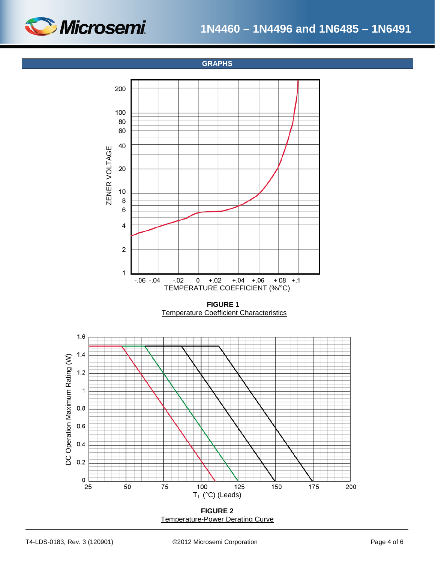

**GRAPHS**



**FIGURE 2** Temperature-Power Derating Curve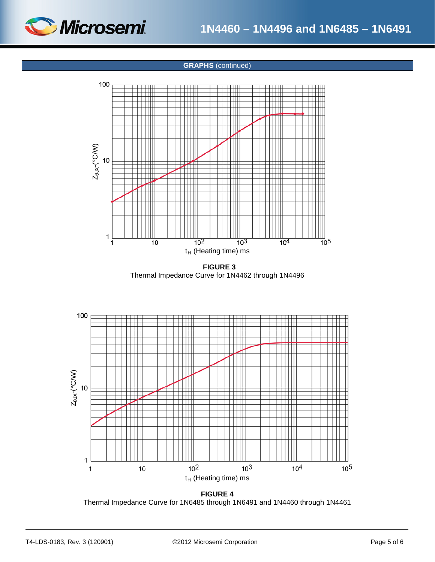<span id="page-4-0"></span>

## **GRAPHS** (continued)



 **FIGURE 3** Thermal Impedance Curve for 1N4462 through 1N4496



**FIGURE 4** Thermal Impedance Curve for 1N6485 through 1N6491 and 1N4460 through 1N4461